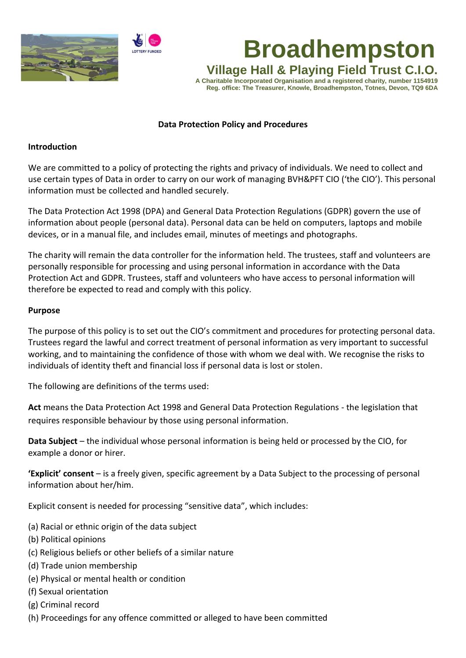



# **Broadhempston**

**Village Hall & Playing Field Trust C.I.O. A Charitable Incorporated Organisation and a registered charity, number 1154919 Reg. office: The Treasurer, Knowle, Broadhempston, Totnes, Devon, TQ9 6DA**

#### **Data Protection Policy and Procedures**

#### **Introduction**

We are committed to a policy of protecting the rights and privacy of individuals. We need to collect and use certain types of Data in order to carry on our work of managing BVH&PFT CIO ('the CIO'). This personal information must be collected and handled securely.

The Data Protection Act 1998 (DPA) and General Data Protection Regulations (GDPR) govern the use of information about people (personal data). Personal data can be held on computers, laptops and mobile devices, or in a manual file, and includes email, minutes of meetings and photographs.

The charity will remain the data controller for the information held. The trustees, staff and volunteers are personally responsible for processing and using personal information in accordance with the Data Protection Act and GDPR. Trustees, staff and volunteers who have access to personal information will therefore be expected to read and comply with this policy.

#### **Purpose**

The purpose of this policy is to set out the CIO's commitment and procedures for protecting personal data. Trustees regard the lawful and correct treatment of personal information as very important to successful working, and to maintaining the confidence of those with whom we deal with. We recognise the risks to individuals of identity theft and financial loss if personal data is lost or stolen.

The following are definitions of the terms used:

**Act** means the Data Protection Act 1998 and General Data Protection Regulations - the legislation that requires responsible behaviour by those using personal information.

**Data Subject** – the individual whose personal information is being held or processed by the CIO, for example a donor or hirer.

**'Explicit' consent** – is a freely given, specific agreement by a Data Subject to the processing of personal information about her/him.

Explicit consent is needed for processing "sensitive data", which includes:

- (a) Racial or ethnic origin of the data subject
- (b) Political opinions
- (c) Religious beliefs or other beliefs of a similar nature
- (d) Trade union membership
- (e) Physical or mental health or condition
- (f) Sexual orientation
- (g) Criminal record
- (h) Proceedings for any offence committed or alleged to have been committed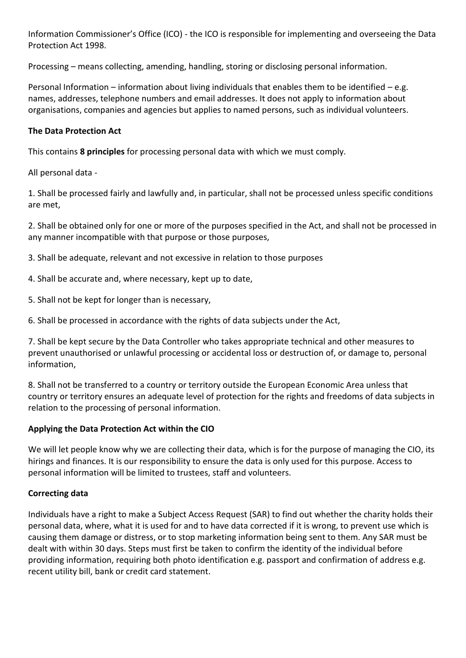Information Commissioner's Office (ICO) - the ICO is responsible for implementing and overseeing the Data Protection Act 1998.

Processing – means collecting, amending, handling, storing or disclosing personal information.

Personal Information – information about living individuals that enables them to be identified – e.g. names, addresses, telephone numbers and email addresses. It does not apply to information about organisations, companies and agencies but applies to named persons, such as individual volunteers.

## **The Data Protection Act**

This contains **8 principles** for processing personal data with which we must comply.

All personal data -

1. Shall be processed fairly and lawfully and, in particular, shall not be processed unless specific conditions are met,

2. Shall be obtained only for one or more of the purposes specified in the Act, and shall not be processed in any manner incompatible with that purpose or those purposes,

3. Shall be adequate, relevant and not excessive in relation to those purposes

- 4. Shall be accurate and, where necessary, kept up to date,
- 5. Shall not be kept for longer than is necessary,
- 6. Shall be processed in accordance with the rights of data subjects under the Act,

7. Shall be kept secure by the Data Controller who takes appropriate technical and other measures to prevent unauthorised or unlawful processing or accidental loss or destruction of, or damage to, personal information,

8. Shall not be transferred to a country or territory outside the European Economic Area unless that country or territory ensures an adequate level of protection for the rights and freedoms of data subjects in relation to the processing of personal information.

### **Applying the Data Protection Act within the CIO**

We will let people know why we are collecting their data, which is for the purpose of managing the CIO, its hirings and finances. It is our responsibility to ensure the data is only used for this purpose. Access to personal information will be limited to trustees, staff and volunteers.

# **Correcting data**

Individuals have a right to make a Subject Access Request (SAR) to find out whether the charity holds their personal data, where, what it is used for and to have data corrected if it is wrong, to prevent use which is causing them damage or distress, or to stop marketing information being sent to them. Any SAR must be dealt with within 30 days. Steps must first be taken to confirm the identity of the individual before providing information, requiring both photo identification e.g. passport and confirmation of address e.g. recent utility bill, bank or credit card statement.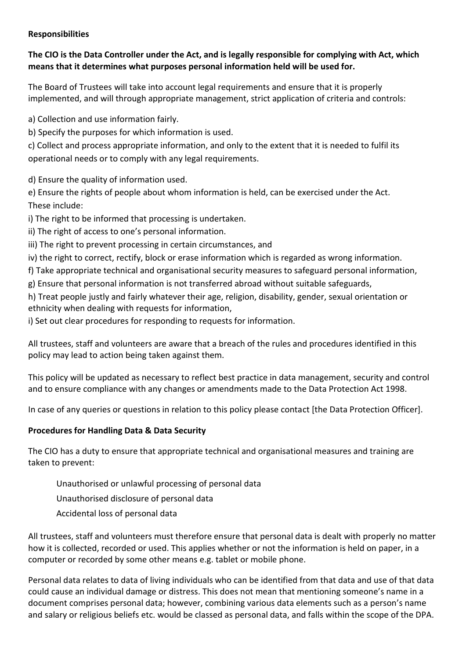#### **Responsibilities**

## **The CIO is the Data Controller under the Act, and is legally responsible for complying with Act, which means that it determines what purposes personal information held will be used for.**

The Board of Trustees will take into account legal requirements and ensure that it is properly implemented, and will through appropriate management, strict application of criteria and controls:

a) Collection and use information fairly.

b) Specify the purposes for which information is used.

c) Collect and process appropriate information, and only to the extent that it is needed to fulfil its operational needs or to comply with any legal requirements.

d) Ensure the quality of information used.

e) Ensure the rights of people about whom information is held, can be exercised under the Act. These include:

i) The right to be informed that processing is undertaken.

ii) The right of access to one's personal information.

iii) The right to prevent processing in certain circumstances, and

iv) the right to correct, rectify, block or erase information which is regarded as wrong information.

f) Take appropriate technical and organisational security measures to safeguard personal information,

g) Ensure that personal information is not transferred abroad without suitable safeguards,

h) Treat people justly and fairly whatever their age, religion, disability, gender, sexual orientation or ethnicity when dealing with requests for information,

i) Set out clear procedures for responding to requests for information.

All trustees, staff and volunteers are aware that a breach of the rules and procedures identified in this policy may lead to action being taken against them.

This policy will be updated as necessary to reflect best practice in data management, security and control and to ensure compliance with any changes or amendments made to the Data Protection Act 1998.

In case of any queries or questions in relation to this policy please contact [the Data Protection Officer].

# **Procedures for Handling Data & Data Security**

The CIO has a duty to ensure that appropriate technical and organisational measures and training are taken to prevent:

- Unauthorised or unlawful processing of personal data
- Unauthorised disclosure of personal data
- Accidental loss of personal data

All trustees, staff and volunteers must therefore ensure that personal data is dealt with properly no matter how it is collected, recorded or used. This applies whether or not the information is held on paper, in a computer or recorded by some other means e.g. tablet or mobile phone.

Personal data relates to data of living individuals who can be identified from that data and use of that data could cause an individual damage or distress. This does not mean that mentioning someone's name in a document comprises personal data; however, combining various data elements such as a person's name and salary or religious beliefs etc. would be classed as personal data, and falls within the scope of the DPA.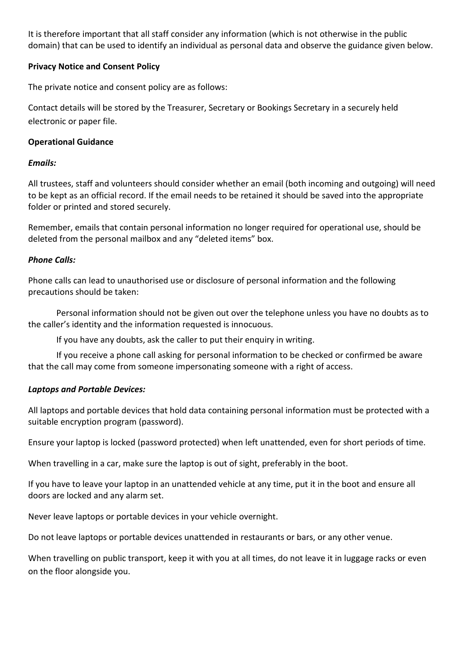It is therefore important that all staff consider any information (which is not otherwise in the public domain) that can be used to identify an individual as personal data and observe the guidance given below.

## **Privacy Notice and Consent Policy**

The private notice and consent policy are as follows:

Contact details will be stored by the Treasurer, Secretary or Bookings Secretary in a securely held electronic or paper file.

## **Operational Guidance**

## *Emails:*

All trustees, staff and volunteers should consider whether an email (both incoming and outgoing) will need to be kept as an official record. If the email needs to be retained it should be saved into the appropriate folder or printed and stored securely.

Remember, emails that contain personal information no longer required for operational use, should be deleted from the personal mailbox and any "deleted items" box.

## *Phone Calls:*

Phone calls can lead to unauthorised use or disclosure of personal information and the following precautions should be taken:

Personal information should not be given out over the telephone unless you have no doubts as to the caller's identity and the information requested is innocuous.

If you have any doubts, ask the caller to put their enquiry in writing.

If you receive a phone call asking for personal information to be checked or confirmed be aware that the call may come from someone impersonating someone with a right of access.

# *Laptops and Portable Devices:*

All laptops and portable devices that hold data containing personal information must be protected with a suitable encryption program (password).

Ensure your laptop is locked (password protected) when left unattended, even for short periods of time.

When travelling in a car, make sure the laptop is out of sight, preferably in the boot.

If you have to leave your laptop in an unattended vehicle at any time, put it in the boot and ensure all doors are locked and any alarm set.

Never leave laptops or portable devices in your vehicle overnight.

Do not leave laptops or portable devices unattended in restaurants or bars, or any other venue.

When travelling on public transport, keep it with you at all times, do not leave it in luggage racks or even on the floor alongside you.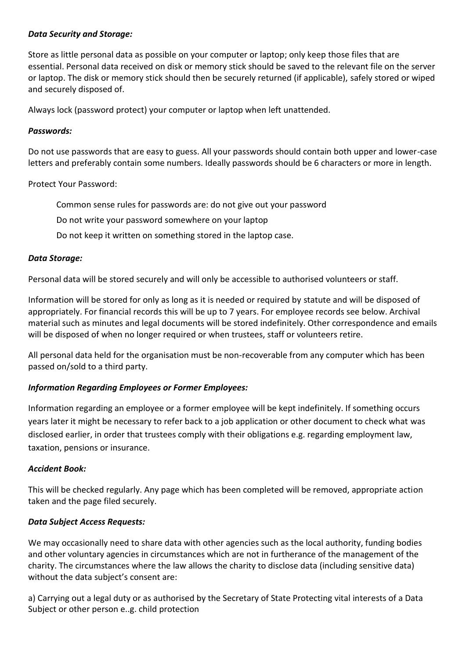#### *Data Security and Storage:*

Store as little personal data as possible on your computer or laptop; only keep those files that are essential. Personal data received on disk or memory stick should be saved to the relevant file on the server or laptop. The disk or memory stick should then be securely returned (if applicable), safely stored or wiped and securely disposed of.

Always lock (password protect) your computer or laptop when left unattended.

#### *Passwords:*

Do not use passwords that are easy to guess. All your passwords should contain both upper and lower-case letters and preferably contain some numbers. Ideally passwords should be 6 characters or more in length.

Protect Your Password:

Common sense rules for passwords are: do not give out your password

Do not write your password somewhere on your laptop

Do not keep it written on something stored in the laptop case.

#### *Data Storage:*

Personal data will be stored securely and will only be accessible to authorised volunteers or staff.

Information will be stored for only as long as it is needed or required by statute and will be disposed of appropriately. For financial records this will be up to 7 years. For employee records see below. Archival material such as minutes and legal documents will be stored indefinitely. Other correspondence and emails will be disposed of when no longer required or when trustees, staff or volunteers retire.

All personal data held for the organisation must be non-recoverable from any computer which has been passed on/sold to a third party.

### *Information Regarding Employees or Former Employees:*

Information regarding an employee or a former employee will be kept indefinitely. If something occurs years later it might be necessary to refer back to a job application or other document to check what was disclosed earlier, in order that trustees comply with their obligations e.g. regarding employment law, taxation, pensions or insurance.

#### *Accident Book:*

This will be checked regularly. Any page which has been completed will be removed, appropriate action taken and the page filed securely.

#### *Data Subject Access Requests:*

We may occasionally need to share data with other agencies such as the local authority, funding bodies and other voluntary agencies in circumstances which are not in furtherance of the management of the charity. The circumstances where the law allows the charity to disclose data (including sensitive data) without the data subject's consent are:

a) Carrying out a legal duty or as authorised by the Secretary of State Protecting vital interests of a Data Subject or other person e..g. child protection